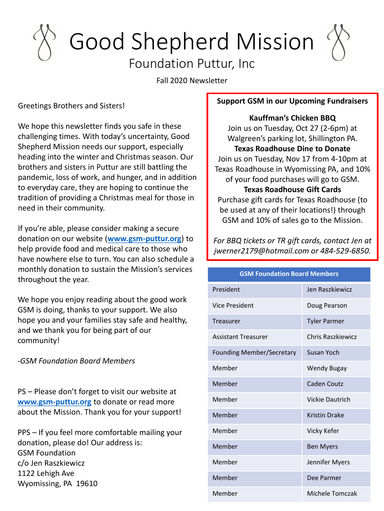# Good Shepherd Mission

### Foundation Puttur, Inc

Fall 2020 Newsletter

Greetings Brothers and Sisters!

We hope this newsletter finds you safe in these challenging times. With today's uncertainty, Good Shepherd Mission needs our support, especially heading into the winter and Christmas season. Our brothers and sisters in Puttur are still battling the pandemic, loss of work, and hunger, and in addition to everyday care, they are hoping to continue the tradition of providing a Christmas meal for those in need in their community.

If you're able, please consider making a secure donation on our website (**[www.gsm-puttur.org](http://www.gsm-puttur.org/)**) to help provide food and medical care to those who have nowhere else to turn. You can also schedule a monthly donation to sustain the Mission's services throughout the year.

We hope you enjoy reading about the good work GSM is doing, thanks to your support. We also hope you and your families stay safe and healthy, and we thank you for being part of our community!

*-GSM Foundation Board Members*

PS – Please don't forget to visit our website at **[www.gsm-puttur.org](http://www.gsm-puttur.org/)** to donate or read more about the Mission. Thank you for your support!

PPS – If you feel more comfortable mailing your donation, please do! Our address is: GSM Foundation c/o Jen Raszkiewicz 1122 Lehigh Ave Wyomissing, PA 19610

#### **Support GSM in our Upcoming Fundraisers**

**Kauffman's Chicken BBQ**  Join us on Tuesday, Oct 27 (2-6pm) at Walgreen's parking lot, Shillington PA. **Texas Roadhouse Dine to Donate** Join us on Tuesday, Nov 17 from 4-10pm at Texas Roadhouse in Wyomissing PA, and 10% of your food purchases will go to GSM. **Texas Roadhouse Gift Cards** Purchase gift cards for Texas Roadhouse (to be used at any of their locations!) through GSM and 10% of sales go to the Mission.

*For BBQ tickets or TR gift cards, contact Jen at jwerner2179@hotmail.com or 484-529-6850.*

| <b>GSM Foundation Board Members</b> |                      |
|-------------------------------------|----------------------|
| President                           | Jen Raszkiewicz      |
| <b>Vice President</b>               | Doug Pearson         |
| Treasurer                           | <b>Tyler Parmer</b>  |
| <b>Assistant Treasurer</b>          | Chris Raszkiewicz    |
| <b>Founding Member/Secretary</b>    | Susan Yoch           |
| Member                              | Wendy Bugay          |
| Member                              | Caden Coutz          |
| Member                              | Vickie Dautrich      |
| Member                              | <b>Kristin Drake</b> |
| Member                              | Vicky Kefer          |
| Member                              | <b>Ben Myers</b>     |
| Member                              | Jennifer Myers       |
| Member                              | Dee Parmer           |
| Member                              | Michele Tomczak      |